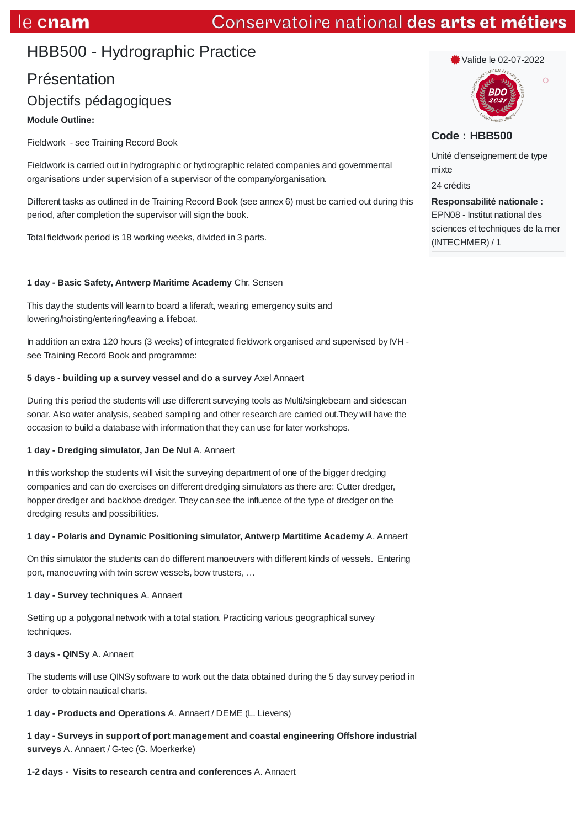# Conservatoire national des arts et métiers

# HBB500 - Hydrographic Practice

# Présentation Objectifs pédagogiques

## **Module Outline:**

Fieldwork - see Training Record Book

Fieldwork is carried out in hydrographic or hydrographic related companies and governmental organisations under supervision of a supervisor of the company/organisation.

Different tasks as outlined in de Training Record Book (see annex 6) must be carried out during this period, after completion the supervisor will sign the book.

Total fieldwork period is 18 working weeks, divided in 3 parts.

## **1 day - Basic Safety, Antwerp Maritime Academy** Chr. Sensen

This day the students will learn to board a liferaft, wearing emergency suits and lowering/hoisting/entering/leaving a lifeboat.

In addition an extra 120 hours (3 weeks) of integrated fieldwork organised and supervised by IVH see Training Record Book and programme:

#### **5 days - building up a survey vessel and do a survey** Axel Annaert

During this period the students will use different surveying tools as Multi/singlebeam and sidescan sonar. Also water analysis, seabed sampling and other research are carried out.They will have the occasion to build a database with information that they can use for later workshops.

## **1 day - Dredging simulator, Jan De Nul** A. Annaert

In this workshop the students will visit the surveying department of one of the bigger dredging companies and can do exercises on different dredging simulators as there are: Cutter dredger, hopper dredger and backhoe dredger. They can see the influence of the type of dredger on the dredging results and possibilities.

## **1 day - Polaris and Dynamic Positioning simulator, Antwerp Martitime Academy** A. Annaert

On this simulator the students can do different manoeuvers with different kinds of vessels. Entering port, manoeuvring with twin screw vessels, bow trusters, …

#### **1 day - Survey techniques** A. Annaert

Setting up a polygonal network with a total station. Practicing various geographical survey techniques.

#### **3 days - QINSy** A. Annaert

The students will use QINSy software to work out the data obtained during the 5 day survey period in order to obtain nautical charts.

## **1 day - Products and Operations** A. Annaert / DEME (L. Lievens)

**1 day - Surveys in support of port management and coastal engineering Offshore industrial surveys** A. Annaert / G-tec (G. Moerkerke)

## **1-2 days - Visits to research centra and conferences** A. Annaert



# **Code : HBB500**

Unité d'enseignement de type mixte

24 crédits

**Responsabilité nationale :** EPN08 - Institut national des sciences et techniques de la mer (INTECHMER) / 1